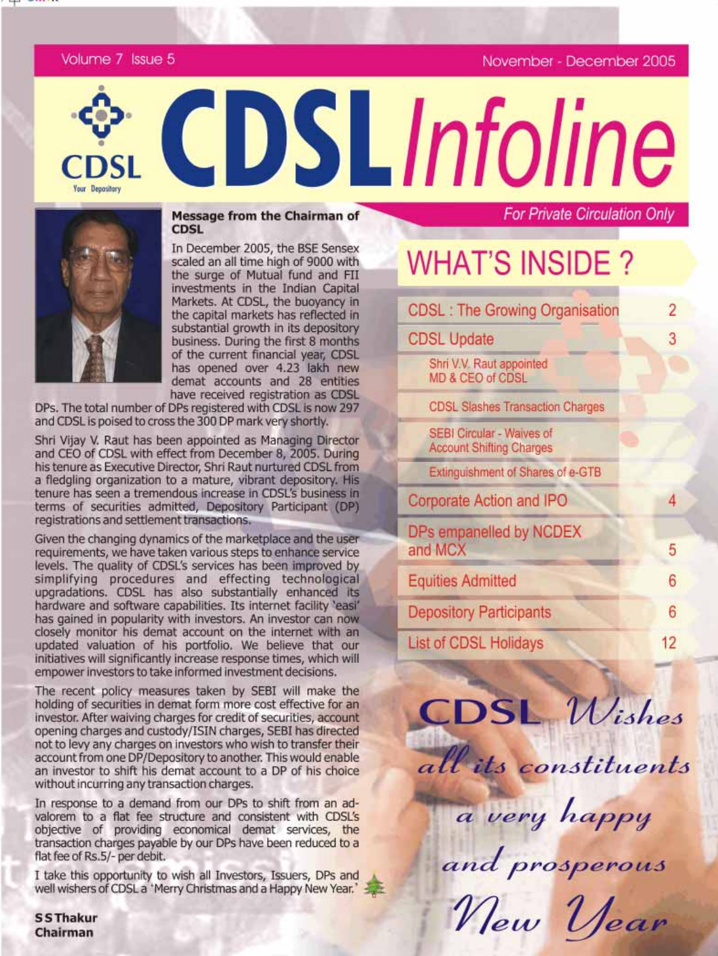November - December 2005

For Private Circulation Only

Volume 7 Issue 5



Your Depository

**Message from the Chairman of CDSL** 

In December 2005, the BSE Sensex scaled an all time high of 9000 with the surge of Mutual fund and FII investments in the Indian Capital Markets. At CDSL, the buoyancy in the capital markets has reflected in substantial growth in its depository business. During the first 8 months of the current financial year, CDSL has opened over 4.23 lakh new demat accounts and 28 entities have received registration as CDSL

DPs. The total number of DPs registered with CDSL is now 297 and CDSL is poised to cross the 300 DP mark very shortly.

Shri Vijay V. Raut has been appointed as Managing Director and CEO of CDSL with effect from December 8, 2005. During his tenure as Executive Director, Shri Raut nurtured CDSL from a fledgling organization to a mature, vibrant depository. His tenure has seen a tremendous increase in CDSL's business in terms of securities admitted, Depository Participant (DP) registrations and settlement transactions.

Given the changing dynamics of the marketplace and the user requirements, we have taken various steps to enhance service levels. The quality of CDSL's services has been improved by simplifying procedures and effecting technological<br>upgradations. CDSL has also substantially enhanced its hardware and software capabilities. Its internet facility 'easi' has gained in popularity with investors. An investor can now closely monitor his demat account on the internet with an updated valuation of his portfolio. We believe that our initiatives will significantly increase response times, which will empower investors to take informed investment decisions.

The recent policy measures taken by SEBI will make the holding of securities in demat form more cost effective for an investor. After waiving charges for credit of securities, account opening charges and custody/ISIN charges, SEBI has directed not to levy any charges on investors who wish to transfer their account from one DP/Depository to another. This would enable an investor to shift his demat account to a DP of his choice without incurring any transaction charges.

In response to a demand from our DPs to shift from an advalorem to a flat fee structure and consistent with CDSL's objective of providing economical demat services, the transaction charges payable by our DPs have been reduced to a flat fee of Rs.5/- per debit.

I take this opportunity to wish all Investors, Issuers, DPs and well wishers of CDSL a 'Merry Christmas and a Happy New Year.'

**SSThakur** Chairman

# **WHAT'S INSIDE?**

CDSLInfoline

| <b>CDSL: The Growing Organisation</b>                        | 2  |
|--------------------------------------------------------------|----|
| <b>CDSL Update</b>                                           | 3  |
| Shri V.V. Raut appointed<br>MD & CEO of CDSL                 |    |
| <b>CDSL Slashes Transaction Charges</b>                      |    |
| SEBI Circular - Waives of<br><b>Account Shifting Charges</b> |    |
| Extinguishment of Shares of e-GTB                            |    |
| Corporate Action and IPO                                     |    |
| DPs empanelled by NCDEX<br>and MCX                           | 5  |
| <b>Equities Admitted</b>                                     | 6  |
| <b>Depository Participants</b>                               | 6  |
| <b>List of CDSL Holidays</b>                                 | 12 |
|                                                              |    |

**CDSL** Wishes

all its constituents

a very happy

and prosperous

New Year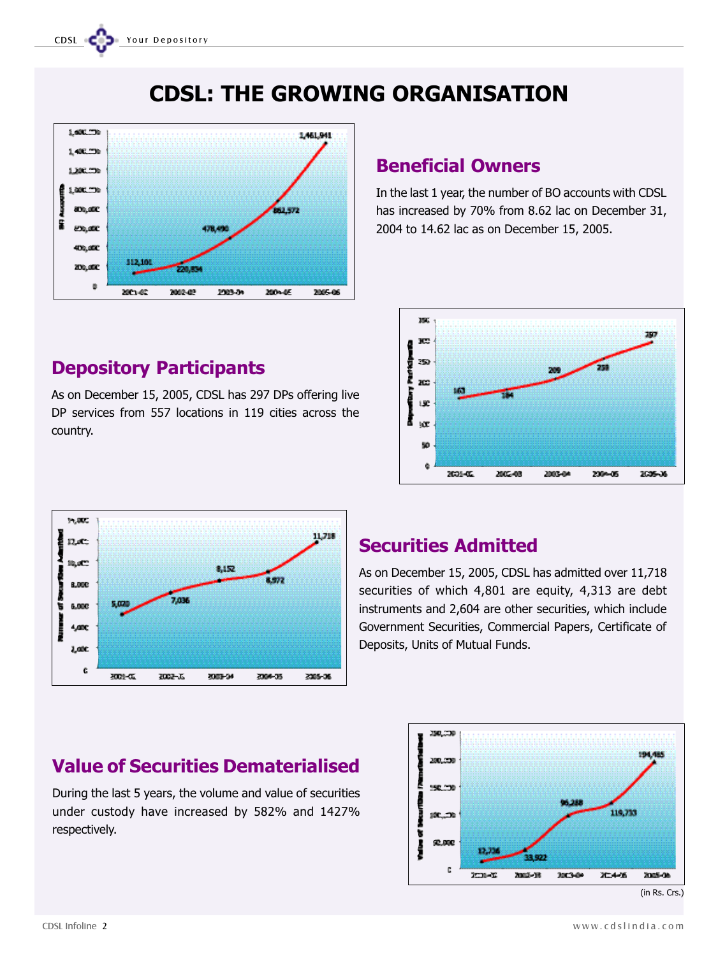CDSL CODE Your Depository





# Depository Participants

As on December 15, 2005, CDSL has 297 DPs offering live DP services from 557 locations in 119 cities across the country.

# Beneficial Owners

In the last 1 year, the number of BO accounts with CDSL has increased by 70% from 8.62 lac on December 31, 2004 to 14.62 lac as on December 15, 2005.





# Securities Admitted

As on December 15, 2005, CDSL has admitted over 11,718 securities of which 4,801 are equity, 4,313 are debt instruments and 2,604 are other securities, which include Government Securities, Commercial Papers, Certificate of Deposits, Units of Mutual Funds.



#### (in Rs. Crs.)

# Value of Securities Dematerialised

During the last 5 years, the volume and value of securities under custody have increased by 582% and 1427% respectively.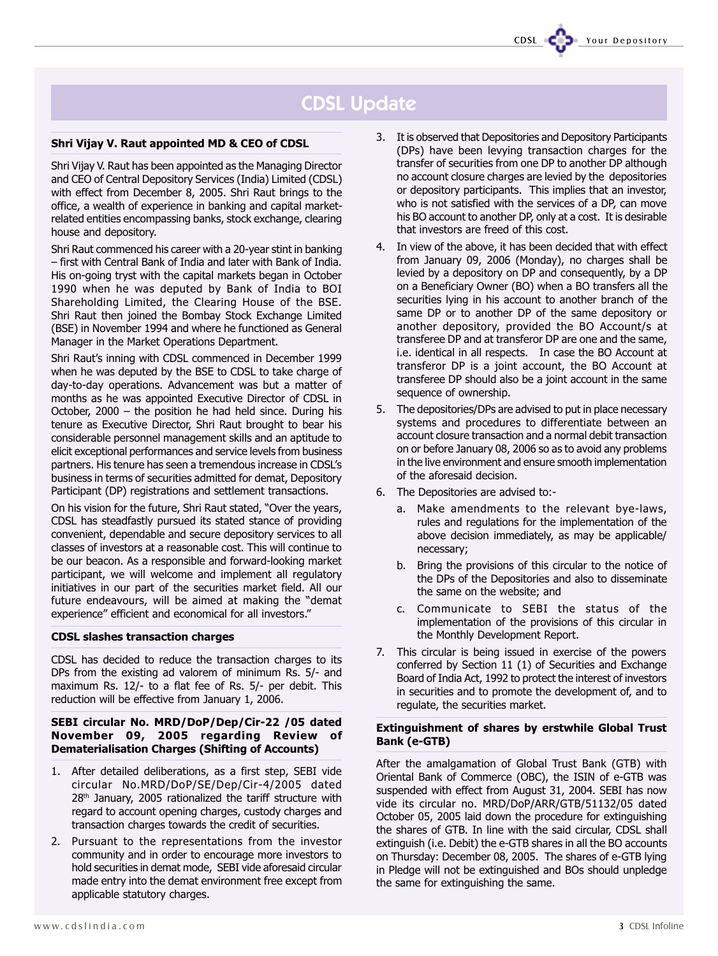### Shri Vijay V. Raut appointed MD & CEO of CDSL

Shri Vijay V. Raut has been appointed as the Managing Director and CEO of Central Depository Services (India) Limited (CDSL) with effect from December 8, 2005. Shri Raut brings to the office, a wealth of experience in banking and capital marketrelated entities encompassing banks, stock exchange, clearing house and depository.

Shri Raut commenced his career with a 20-year stint in banking - first with Central Bank of India and later with Bank of India. His on-going tryst with the capital markets began in October 1990 when he was deputed by Bank of India to BOI Shareholding Limited, the Clearing House of the BSE. Shri Raut then joined the Bombay Stock Exchange Limited (BSE) in November 1994 and where he functioned as General Manager in the Market Operations Department.

Shri Raut's inning with CDSL commenced in December 1999 when he was deputed by the BSE to CDSL to take charge of day-to-day operations. Advancement was but a matter of months as he was appointed Executive Director of CDSL in October,  $2000 -$  the position he had held since. During his tenure as Executive Director, Shri Raut brought to bear his considerable personnel management skills and an aptitude to elicit exceptional performances and service levels from business partners. His tenure has seen a tremendous increase in CDSL's business in terms of securities admitted for demat, Depository Participant (DP) registrations and settlement transactions.

On his vision for the future, Shri Raut stated, "Over the years, CDSL has steadfastly pursued its stated stance of providing convenient, dependable and secure depository services to all classes of investors at a reasonable cost. This will continue to be our beacon. As a responsible and forward-looking market participant, we will welcome and implement all regulatory initiatives in our part of the securities market field. All our future endeavours, will be aimed at making the "demat experience" efficient and economical for all investors."

### CDSL slashes transaction charges

CDSL has decided to reduce the transaction charges to its DPs from the existing ad valorem of minimum Rs. 5/- and maximum Rs. 12/- to a flat fee of Rs. 5/- per debit. This reduction will be effective from January 1, 2006.

### SEBI circular No. MRD/DoP/Dep/Cir-22 /05 dated November 09, 2005 regarding Review of Dematerialisation Charges (Shifting of Accounts)

- 1. After detailed deliberations, as a first step, SEBI vide circular No.MRD/DoP/SE/Dep/Cir-4/2005 dated 28<sup>th</sup> January, 2005 rationalized the tariff structure with regard to account opening charges, custody charges and transaction charges towards the credit of securities.
- 2. Pursuant to the representations from the investor community and in order to encourage more investors to hold securities in demat mode, SEBI vide aforesaid circular made entry into the demat environment free except from applicable statutory charges.

3. It is observed that Depositories and Depository Participants (DPs) have been levying transaction charges for the transfer of securities from one DP to another DP although no account closure charges are levied by the depositories or depository participants. This implies that an investor, who is not satisfied with the services of a DP, can move his BO account to another DP, only at a cost. It is desirable that investors are freed of this cost.

CDSL CODE Your Depository

- 4. In view of the above, it has been decided that with effect from January 09, 2006 (Monday), no charges shall be levied by a depository on DP and consequently, by a DP on a Beneficiary Owner (BO) when a BO transfers all the securities lying in his account to another branch of the same DP or to another DP of the same depository or another depository, provided the BO Account/s at transferee DP and at transferor DP are one and the same, i.e. identical in all respects. In case the BO Account at transferor DP is a joint account, the BO Account at transferee DP should also be a joint account in the same sequence of ownership.
- 5. The depositories/DPs are advised to put in place necessary systems and procedures to differentiate between an account closure transaction and a normal debit transaction on or before January 08, 2006 so as to avoid any problems in the live environment and ensure smooth implementation of the aforesaid decision.
- 6. The Depositories are advised to:
	- a. Make amendments to the relevant bye-laws, rules and regulations for the implementation of the above decision immediately, as may be applicable/ necessary;
	- b. Bring the provisions of this circular to the notice of the DPs of the Depositories and also to disseminate the same on the website; and
	- c. Communicate to SEBI the status of the implementation of the provisions of this circular in the Monthly Development Report.
- 7. This circular is being issued in exercise of the powers conferred by Section 11 (1) of Securities and Exchange Board of India Act, 1992 to protect the interest of investors in securities and to promote the development of, and to regulate, the securities market.

### Extinguishment of shares by erstwhile Global Trust Bank (e-GTB)

After the amalgamation of Global Trust Bank (GTB) with Oriental Bank of Commerce (OBC), the ISIN of e-GTB was suspended with effect from August 31, 2004. SEBI has now vide its circular no. MRD/DoP/ARR/GTB/51132/05 dated October 05, 2005 laid down the procedure for extinguishing the shares of GTB. In line with the said circular, CDSL shall extinguish (i.e. Debit) the e-GTB shares in all the BO accounts on Thursday: December 08, 2005. The shares of e-GTB lying in Pledge will not be extinguished and BOs should unpledge the same for extinguishing the same.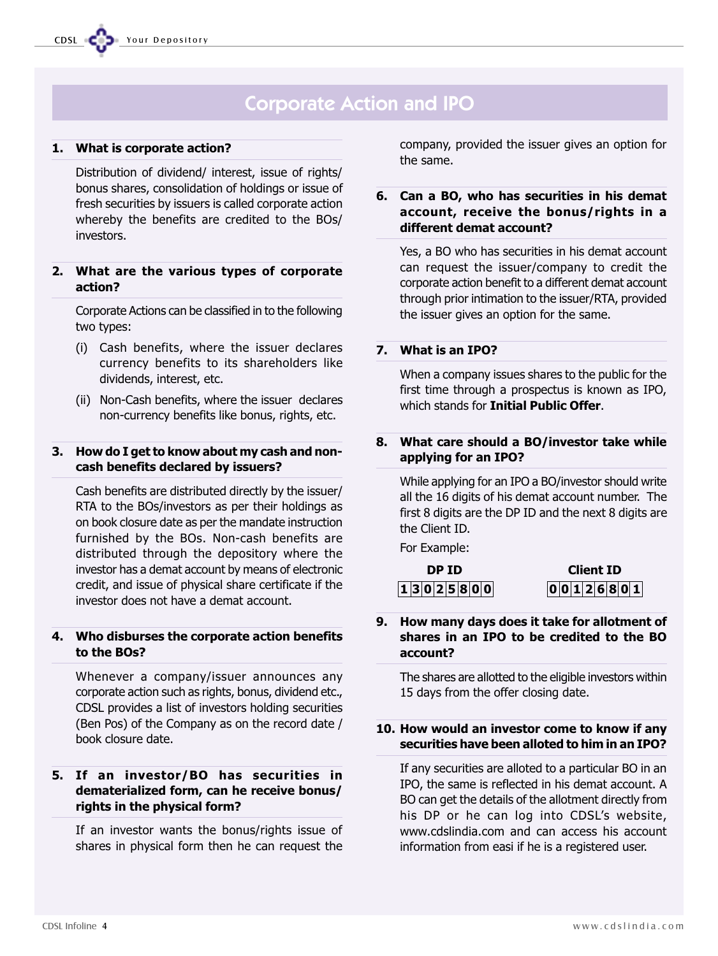# Corporate Action and IPO

## 1. What is corporate action?

Distribution of dividend/ interest, issue of rights/ bonus shares, consolidation of holdings or issue of fresh securities by issuers is called corporate action whereby the benefits are credited to the BOs/ investors.

### 2. What are the various types of corporate action?

Corporate Actions can be classified in to the following two types:

- (i) Cash benefits, where the issuer declares currency benefits to its shareholders like dividends, interest, etc.
- (ii) Non-Cash benefits, where the issuer declares non-currency benefits like bonus, rights, etc.

### 3. How do I get to know about my cash and noncash benefits declared by issuers?

Cash benefits are distributed directly by the issuer/ RTA to the BOs/investors as per their holdings as on book closure date as per the mandate instruction furnished by the BOs. Non-cash benefits are distributed through the depository where the investor has a demat account by means of electronic credit, and issue of physical share certificate if the investor does not have a demat account.

### 4. Who disburses the corporate action benefits to the BOs?

Whenever a company/issuer announces any corporate action such as rights, bonus, dividend etc., CDSL provides a list of investors holding securities (Ben Pos) of the Company as on the record date / book closure date.

## 5. If an investor/BO has securities in dematerialized form, can he receive bonus/ rights in the physical form?

If an investor wants the bonus/rights issue of shares in physical form then he can request the company, provided the issuer gives an option for the same.

# 6. Can a BO, who has securities in his demat account, receive the bonus/rights in a different demat account?

Yes, a BO who has securities in his demat account can request the issuer/company to credit the corporate action benefit to a different demat account through prior intimation to the issuer/RTA, provided the issuer gives an option for the same.

# 7. What is an IPO?

When a company issues shares to the public for the first time through a prospectus is known as IPO, which stands for **Initial Public Offer.** 

## 8. What care should a BO/investor take while applying for an IPO?

While applying for an IPO a BO/investor should write all the 16 digits of his demat account number. The first 8 digits are the DP ID and the next 8 digits are the Client ID.

For Example:

| DP ID |  |  |  |  |  |  |                 |  |
|-------|--|--|--|--|--|--|-----------------|--|
|       |  |  |  |  |  |  | 1 3 0 2 5 8 0 0 |  |

**Client ID**  $00126801$ 

## 9. How many days does it take for allotment of shares in an IPO to be credited to the BO account?

The shares are allotted to the eligible investors within 15 days from the offer closing date.

### 10. How would an investor come to know if any securities have been alloted to him in an IPO?

If any securities are alloted to a particular BO in an IPO, the same is reflected in his demat account. A BO can get the details of the allotment directly from his DP or he can log into CDSL's website, www.cdslindia.com and can access his account information from easi if he is a registered user.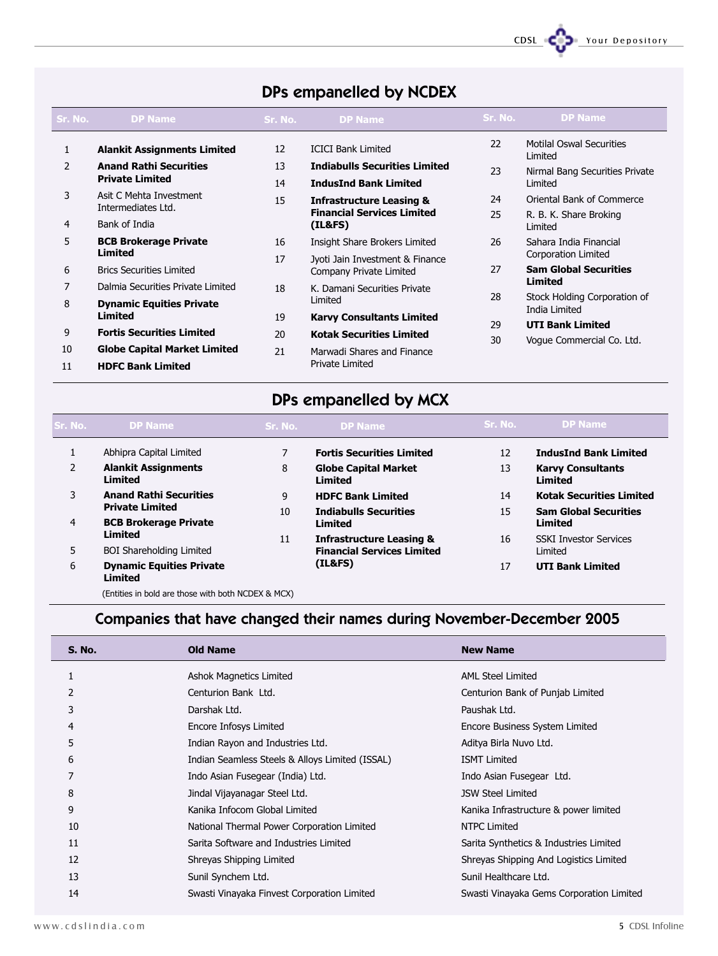

### CDSL CODE Your Depository

| Sr. No.       | <b>DP Name</b>                                | Sr. No. | <b>DP Name</b>                       | Sr. No. | <b>DP Name</b>                                |
|---------------|-----------------------------------------------|---------|--------------------------------------|---------|-----------------------------------------------|
| 1             | <b>Alankit Assignments Limited</b>            | 12      | <b>ICICI Bank Limited</b>            | 22      | <b>Motilal Oswal Securities</b><br>Limited    |
| $\mathcal{P}$ | <b>Anand Rathi Securities</b>                 | 13      | <b>Indiabulls Securities Limited</b> | 23      | Nirmal Bang Securities Private                |
|               | <b>Private Limited</b>                        | 14      | <b>IndusInd Bank Limited</b>         |         | Limited                                       |
| 3             | Asit C Mehta Investment<br>Intermediates Ltd. | 15      | <b>Infrastructure Leasing &amp;</b>  | 24      | Oriental Bank of Commerce                     |
|               |                                               |         | <b>Financial Services Limited</b>    | 25      | R. B. K. Share Broking                        |
| 4             | Bank of India                                 |         | (IL&FS)                              |         | Limited                                       |
| 5             | <b>BCB Brokerage Private</b><br>Limited       | 16      | Insight Share Brokers Limited        | 26      | Sahara India Financial                        |
|               |                                               | 17      | Jyoti Jain Investment & Finance      |         | Corporation Limited                           |
| 6             | <b>Brics Securities Limited</b>               |         | Company Private Limited              | 27      | <b>Sam Global Securities</b>                  |
| 7             | Dalmia Securities Private Limited             | 18      | K. Damani Securities Private         |         | <b>Limited</b>                                |
| 8             | <b>Dynamic Equities Private</b>               |         | Limited                              | 28      | Stock Holding Corporation of<br>India Limited |
|               | Limited                                       | 19      | <b>Karvy Consultants Limited</b>     | 29      |                                               |
| 9             | <b>Fortis Securities Limited</b>              | 20      | <b>Kotak Securities Limited</b>      |         | <b>UTI Bank Limited</b>                       |
| 10            | <b>Globe Capital Market Limited</b>           | 21      | Marwadi Shares and Finance           | 30      | Vogue Commercial Co. Ltd.                     |
| 11            | <b>HDFC Bank Limited</b>                      |         | <b>Private Limited</b>               |         |                                               |

# DPs empanelled by NCDEX

# DPs empanelled by MCX

| Sr. No.        | <b>DP Name</b>                             | Sr. No.        | <b>DP Name</b>                         | Sr. No. | <b>DP Name</b>                             |
|----------------|--------------------------------------------|----------------|----------------------------------------|---------|--------------------------------------------|
|                | Abhipra Capital Limited                    | $\overline{7}$ | <b>Fortis Securities Limited</b>       | 12      | <b>IndusInd Bank Limited</b>               |
| 2              | <b>Alankit Assignments</b><br>Limited      | 8              | <b>Globe Capital Market</b><br>Limited | 13      | <b>Karvy Consultants</b><br><b>Limited</b> |
| 3              | <b>Anand Rathi Securities</b>              | 9              | <b>HDFC Bank Limited</b>               | 14      | <b>Kotak Securities Limited</b>            |
|                | <b>Private Limited</b>                     | 10             | <b>Indiabulls Securities</b>           | 15      | <b>Sam Global Securities</b>               |
| $\overline{4}$ | <b>BCB Brokerage Private</b>               |                | Limited                                |         | <b>Limited</b>                             |
|                | Limited                                    | 11             | <b>Infrastructure Leasing &amp;</b>    | 16      | <b>SSKI Investor Services</b>              |
| 5              | <b>BOI Shareholding Limited</b>            |                | <b>Financial Services Limited</b>      |         | Limited                                    |
| 6              | <b>Dynamic Equities Private</b><br>Limited |                | (IL&FS)                                | 17      | <b>UTI Bank Limited</b>                    |
|                |                                            |                |                                        |         |                                            |

(Entities in bold are those with both NCDEX & MCX)

# Companies that have changed their names during November-December 2005

| <b>S. No.</b> | <b>Old Name</b>                                 | <b>New Name</b>                          |
|---------------|-------------------------------------------------|------------------------------------------|
|               | Ashok Magnetics Limited                         | <b>AML Steel Limited</b>                 |
|               | Centurion Bank Ltd.                             | Centurion Bank of Punjab Limited         |
| 3             | Darshak Ltd.                                    | Paushak Ltd.                             |
| 4             | Encore Infosys Limited                          | Encore Business System Limited           |
| 5             | Indian Rayon and Industries Ltd.                | Aditya Birla Nuvo Ltd.                   |
| 6             | Indian Seamless Steels & Alloys Limited (ISSAL) | <b>ISMT Limited</b>                      |
|               | Indo Asian Fusegear (India) Ltd.                | Indo Asian Fusegear Ltd.                 |
| 8             | Jindal Vijayanagar Steel Ltd.                   | <b>JSW Steel Limited</b>                 |
| 9             | Kanika Infocom Global Limited                   | Kanika Infrastructure & power limited    |
| 10            | National Thermal Power Corporation Limited      | <b>NTPC Limited</b>                      |
| 11            | Sarita Software and Industries Limited          | Sarita Synthetics & Industries Limited   |
| 12            | Shreyas Shipping Limited                        | Shreyas Shipping And Logistics Limited   |
| 13            | Sunil Synchem Ltd.                              | Sunil Healthcare Ltd.                    |
| 14            | Swasti Vinayaka Finvest Corporation Limited     | Swasti Vinayaka Gems Corporation Limited |
|               |                                                 |                                          |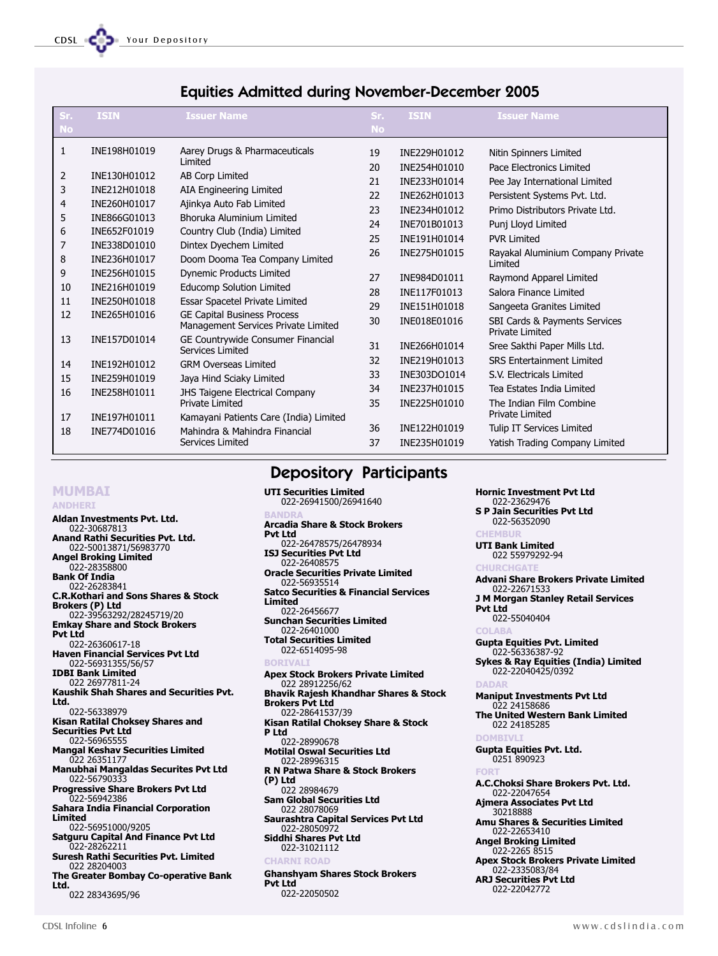| Sr.            | <b>ISIN</b>  | <b>Issuer Name</b>                                                        | Sr.       | <b>ISIN</b>  | <b>Issuer Name</b>                                      |
|----------------|--------------|---------------------------------------------------------------------------|-----------|--------------|---------------------------------------------------------|
| <b>No</b>      |              |                                                                           | <b>No</b> |              |                                                         |
| 1              | INE198H01019 | Aarey Drugs & Pharmaceuticals                                             | 19        | INE229H01012 | Nitin Spinners Limited                                  |
|                |              | Limited                                                                   | 20        | INE254H01010 | Pace Electronics Limited                                |
| 2              | INE130H01012 | AB Corp Limited                                                           | 21        | INE233H01014 | Pee Jay International Limited                           |
| 3              | INE212H01018 | AIA Engineering Limited                                                   | 22        | INE262H01013 | Persistent Systems Pvt. Ltd.                            |
| $\overline{4}$ | INE260H01017 | Ajinkya Auto Fab Limited                                                  | 23        | INE234H01012 | Primo Distributors Private Ltd.                         |
| 5              | INE866G01013 | Bhoruka Aluminium Limited                                                 | 24        | INE701B01013 | Punj Lloyd Limited                                      |
| 6              | INE652F01019 | Country Club (India) Limited                                              | 25        | INE191H01014 | <b>PVR Limited</b>                                      |
| 7              | INE338D01010 | Dintex Dyechem Limited                                                    | 26        | INE275H01015 | Rayakal Aluminium Company Private                       |
| 8              | INE236H01017 | Doom Dooma Tea Company Limited                                            |           |              | Limited                                                 |
| 9              | INE256H01015 | <b>Dynemic Products Limited</b>                                           | 27        | INE984D01011 | Raymond Apparel Limited                                 |
| 10             | INE216H01019 | Educomp Solution Limited                                                  | 28        | INE117F01013 | Salora Finance Limited                                  |
| 11             | INE250H01018 | Essar Spacetel Private Limited                                            | 29        | INE151H01018 | Sangeeta Granites Limited                               |
| 12             | INE265H01016 | <b>GE Capital Business Process</b><br>Management Services Private Limited | 30        | INE018E01016 | SBI Cards & Payments Services<br><b>Private Limited</b> |
| 13             | INE157D01014 | GE Countrywide Consumer Financial<br>Services Limited                     | 31        | INE266H01014 | Sree Sakthi Paper Mills Ltd.                            |
| 14             | INE192H01012 | <b>GRM Overseas Limited</b>                                               | 32        | INE219H01013 | <b>SRS Entertainment Limited</b>                        |
| 15             | INE259H01019 | Jaya Hind Sciaky Limited                                                  | 33        | INE303DO1014 | S.V. Electricals Limited                                |
| 16             | INE258H01011 | JHS Taigene Electrical Company                                            | 34        | INE237H01015 | Tea Estates India Limited                               |
|                |              | <b>Private Limited</b>                                                    | 35        | INE225H01010 | The Indian Film Combine                                 |
| 17             | INE197H01011 | Kamayani Patients Care (India) Limited                                    |           |              | <b>Private Limited</b>                                  |
| 18             | INE774D01016 | Mahindra & Mahindra Financial                                             | 36        | INE122H01019 | <b>Tulip IT Services Limited</b>                        |
|                |              | <b>Services Limited</b>                                                   | 37        | INE235H01019 | Yatish Trading Company Limited                          |

# Equities Admitted during November-December 2005

### MUMBAI

#### ANDHERI

Aldan Investments Pvt. Ltd. 022-30687813 Anand Rathi Securities Pvt. Ltd. 022-50013871/56983770 Angel Broking Limited 022-28358800 Bank Of India 022-26283841 C.R.Kothari and Sons Shares & Stock Brokers (P) Ltd 022-39563292/28245719/20 Emkay Share and Stock Brokers Pvt Ltd 022-26360617-18 Haven Financial Services Pvt Ltd 022-56931355/56/57 IDBI Bank Limited 022 26977811-24 Kaushik Shah Shares and Securities Pvt. Ltd. 022-56338979 Kisan Ratilal Choksey Shares and Securities Pvt Ltd 022-56965555 Mangal Keshav Securities Limited 022 26351177 Manubhai Mangaldas Securites Pvt Ltd 022-56790333 Progressive Share Brokers Pvt Ltd 022-56942386 Sahara India Financial Corporation Limited 022-56951000/9205 Satguru Capital And Finance Pvt Ltd 022-28262211 Suresh Rathi Securities Pvt. Limited 022 28204003 The Greater Bombay Co-operative Bank Ltd. 022 28343695/96

Depository Participants

UTI Securities Limited 022-26941500/26941640 BANDRA Arcadia Share & Stock Brokers Pvt Ltd 022-26478575/26478934 ISJ Securities Pvt Ltd 022-26408575 Oracle Securities Private Limited 022-56935514 Satco Securities & Financial Services Limited 022-26456677 Sunchan Securities Limited 022-26401000 Total Securities Limited 022-6514095-98 Apex Stock Brokers Private Limited 022 28912256/62 Bhavik Rajesh Khandhar Shares & Stock Brokers Pvt Ltd 022-28641537/39 Kisan Ratilal Choksey Share & Stock P Ltd 022-28990678 Motilal Oswal Securities Ltd 022-28996315 R N Patwa Share & Stock Brokers (P) Ltd 022 28984679 Sam Global Securities Ltd 022 28078069 Saurashtra Capital Services Pvt Ltd 022-28050972 Siddhi Shares Pvt Ltd 022-31021112 **CHARNI ROA** Ghanshyam Shares Stock Brokers Pvt Ltd 022-22050502

022-23629476 S P Jain Securities Pvt Ltd 022-56352090 **CHEMBUR** UTI Bank Limited 022 55979292-94 **CHURCHGAT** Advani Share Brokers Private Limited 022-22671533 J M Morgan Stanley Retail Services Pvt Ltd 022-55040404 COLAB. Gupta Equities Pvt. Limited 022-56336387-92 Sykes & Ray Equities (India) Limited 022-22040425/0392 **DADAI** Maniput Investments Pvt Ltd 022 24158686 The United Western Bank Limited 022 24185285 **DOMBIV** Gupta Equities Pvt. Ltd. 0251 890923 FORT A.C.Choksi Share Brokers Pvt. Ltd. 022-22047654 Ajmera Associates Pvt Ltd 30218888 Amu Shares & Securities Limited 022-22653410 Angel Broking Limited 022-2265 8515 Apex Stock Brokers Private Limited 022-2335083/84 ARJ Securities Pvt Ltd 022-22042772

Hornic Investment Pvt Ltd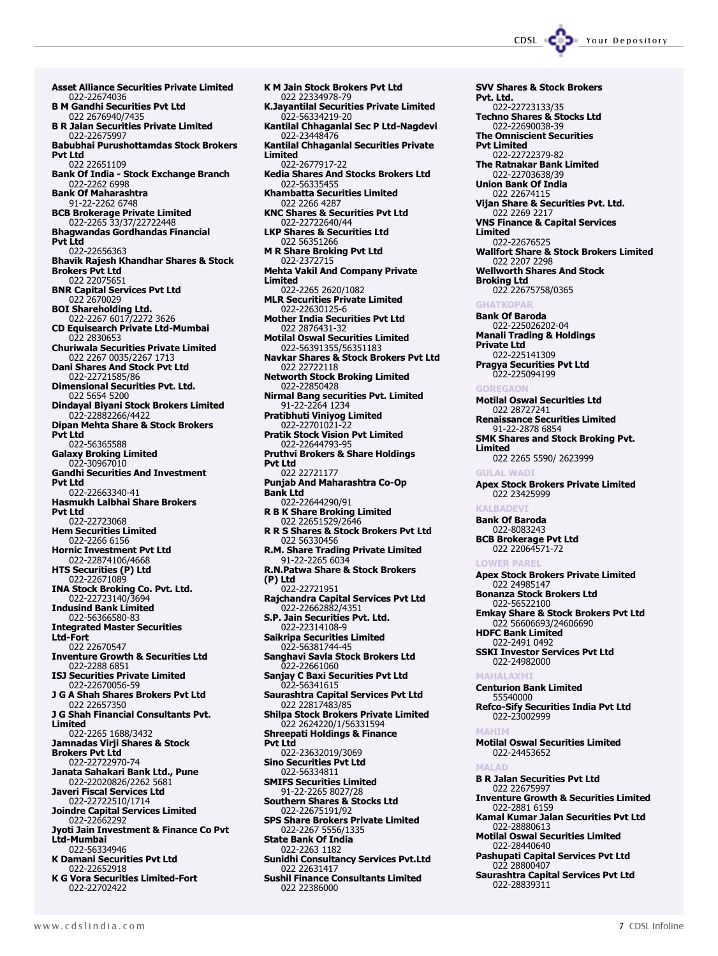SVV Shares & Stock Brokers

Pvt. Ltd.

Asset Alliance Securities Private Limited 022-22674036 B M Gandhi Securities Pvt Ltd 022 2676940/7435 B R Jalan Securities Private Limited 022-22675997 Babubhai Purushottamdas Stock Brokers Pvt Ltd 022 22651109 Bank Of India - Stock Exchange Branch 022-2262 6998 Bank Of Maharashtra 91-22-2262 6748 BCB Brokerage Private Limited 022-2265 33/37/22722448 Bhagwandas Gordhandas Financial Pvt Ltd 022-22656363 Bhavik Rajesh Khandhar Shares & Stock Brokers Pvt Ltd 022 22075651 BNR Capital Services Pvt Ltd 022 2670029 BOI Shareholding Ltd. 022-2267 6017/2272 3626 CD Equisearch Private Ltd-Mumbai 022 2830653 Churiwala Securities Private Limited 022 2267 0035/2267 1713 Dani Shares And Stock Pvt Ltd 022-22721585/86 Dimensional Securities Pvt. Ltd. 022 5654 5200 Dindayal Biyani Stock Brokers Limited 022-22882266/4422 Dipan Mehta Share & Stock Brokers Pvt Ltd 022-56365588 Galaxy Broking Limited 022-30967010 Gandhi Securities And Investment Pvt Ltd 022-22663340-41 Hasmukh Lalbhai Share Brokers Pvt Ltd 022-22723068 Hem Securities Limited 022-2266 6156 Hornic Investment Pvt Ltd 022-22874106/4668 HTS Securities (P) Ltd 022-22671089 INA Stock Broking Co. Pvt. Ltd. 022-22723140/3694 Indusind Bank Limited 022-56366580-83 Integrated Master Securities Ltd-Fort 022 22670547 Inventure Growth & Securities Ltd 022-2288 6851 ISJ Securities Private Limited 022-22670056-59 J G A Shah Shares Brokers Pvt Ltd 022 22657350 J G Shah Financial Consultants Pvt. Limited 022-2265 1688/3432 Jamnadas Virji Shares & Stock Brokers Pvt Ltd 022-22722970-74 Janata Sahakari Bank Ltd., Pune 022-22020826/2262 5681 Javeri Fiscal Services Ltd 022-22722510/1714 Joindre Capital Services Limited 022-22662292 Jyoti Jain Investment & Finance Co Pvt Ltd-Mumbai 022-56334946 K Damani Securities Pvt Ltd 022-22652918 K G Vora Securities Limited-Fort 022-22702422

K M Jain Stock Brokers Pvt Ltd 022 22334978-79 K.Jayantilal Securities Private Limited 022-56334219-20 Kantilal Chhaganlal Sec P Ltd-Nagdevi 022-23448476 Kantilal Chhaganlal Securities Private Limited 022-2677917-22 Kedia Shares And Stocks Brokers Ltd 022-56335455 Khambatta Securities Limited 022 2266 4287 KNC Shares & Securities Pvt Ltd 022-22722640/44 LKP Shares & Securities Ltd 022 56351266 M R Share Broking Pvt Ltd 022-2372715 Mehta Vakil And Company Private Limited 022-2265 2620/1082 MLR Securities Private Limited 022-22630125-6 Mother India Securities Pvt Ltd 022 2876431-32 Motilal Oswal Securities Limited 022-56391355/56351183 Navkar Shares & Stock Brokers Pvt Ltd 022 22722118 Networth Stock Broking Limited 022-22850428 Nirmal Bang securities Pvt. Limited 91-22-2264 1234 Pratibhuti Viniyog Limited 022-22701021-22 Pratik Stock Vision Pvt Limited 022-22644793-95 Pruthvi Brokers & Share Holdings Pvt Ltd 022 22721177 Punjab And Maharashtra Co-Op Bank Ltd 022-22644290/91 R B K Share Broking Limited 022 22651529/2646 R R S Shares & Stock Brokers Pvt Ltd 022 56330456 R.M. Share Trading Private Limited 91-22-2265 6034 R.N.Patwa Share & Stock Brokers (P) Ltd 022-22721951 Rajchandra Capital Services Pvt Ltd 022-22662882/4351 S.P. Jain Securities Pvt. Ltd. 022-22314108-9 Saikripa Securities Limited 022-56381744-45 Sanghavi Savla Stock Brokers Ltd 022-22661060 Sanjay C Baxi Securities Pvt Ltd 022-56341615 Saurashtra Capital Services Pvt Ltd 022 22817483/85 Shilpa Stock Brokers Private Limited 022 2624220/1/56331594 Shreepati Holdings & Finance Pvt Ltd 022-23632019/3069 Sino Securities Pvt Ltd 022-56334811 SMIFS Securities Limited 91-22-2265 8027/28 Southern Shares & Stocks Ltd 022-22675191/92 SPS Share Brokers Private Limited 022-2267 5556/1335 State Bank Of India 022-2263 1182 Sunidhi Consultancy Services Pvt.Ltd 022 22631417 Sushil Finance Consultants Limited 022 22386000

022-22723133/35 Techno Shares & Stocks Ltd 022-22690038-39 The Omniscient Securities Pvt Limited 022-22722379-82 The Ratnakar Bank Limited 022-22703638/39 Union Bank Of India 022 22674115 Vijan Share & Securities Pvt. Ltd. 022 2269 221 VNS Finance & Capital Services Limited 022-22676525 Wallfort Share & Stock Brokers Limited 022 2207 2298 Wellworth Shares And Stock Broking Ltd 022 22675758/0365 **GHATKOPAR** Bank Of Baroda 022-225026202-04 Manali Trading & Holdings Private Ltd 022-225141309 Pragya Securities Pvt Ltd 022-225094199 GOREGAON Motilal Oswal Securities Ltd 022 28727241 Renaissance Securities Limited 91-22-2878 6854 SMK Shares and Stock Broking Pvt. Limited 022 2265 5590/ 2623999 **GULAL WADI** Apex Stock Brokers Private Limited 022 23425999 **KALBADEV** Bank Of Baroda 022-8083243 BCB Brokerage Pvt Ltd 022 22064571-72 LOWER PAREL Apex Stock Brokers Private Limited 022 24985147 Bonanza Stock Brokers Ltd 022-56522100 Emkay Share & Stock Brokers Pvt Ltd 022 56606693/24606690 HDFC Bank Limited 022-2491 0492 SSKI Investor Services Pvt Ltd 022-24982000 **MAHALAX** Centurion Bank Limited 55540000 Refco-Sify Securities India Pvt Ltd 022-23002999 **MAHTI** Motilal Oswal Securities Limited 022-24453652 MALAD B R Jalan Securities Pvt Ltd 022 22675997 Inventure Growth & Securities Limited 022-2881 6159 Kamal Kumar Jalan Securities Pvt Ltd 022-28880613 Motilal Oswal Securities Limited 022-28440640 Pashupati Capital Services Pvt Ltd 022 28800407 Saurashtra Capital Services Pvt Ltd 022-28839311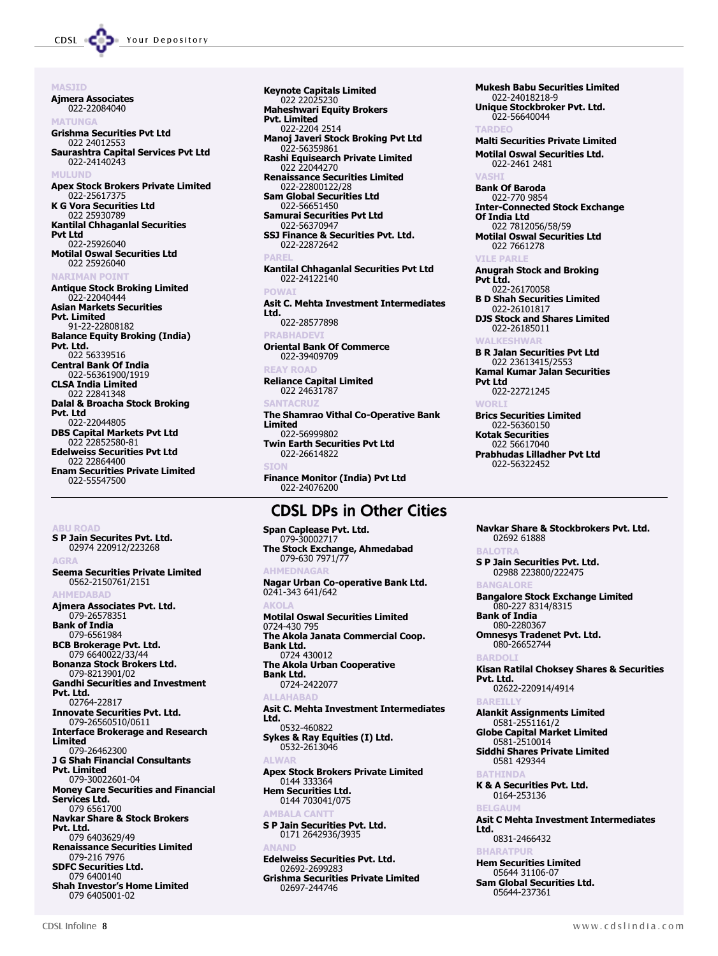**MASTID** Ajmera Associates 022-22084040 MATUNGA Grishma Securities Pvt Ltd 022 24012553 Saurashtra Capital Services Pvt Ltd 022-24140243 **MULUN** Apex Stock Brokers Private Limited 022-2561737 K G Vora Securities Ltd 022 25930789 Kantilal Chhaganlal Securities Pvt Ltd 022-25926040 Motilal Oswal Securities Ltd 022 25926040 **NARTMAN POI** Antique Stock Broking Limited 022-22040444 Asian Markets Securities Pvt. Limited 91-22-22808182 Balance Equity Broking (India) Pvt. Ltd. 022 56339516 Central Bank Of India 022-56361900/1919 CLSA India Limited 022 22841348 Dalal & Broacha Stock Broking Pvt. Ltd 022-22044805 DBS Capital Markets Pvt Ltd 022 22852580-81 Edelweiss Securities Pvt Ltd 022 22864400 Enam Securities Private Limited 022-55547500

S P Jain Securites Pvt. Ltd. 02974 220912/223268 AGRA Seema Securities Private Limited 0562-2150761/2151 **AHMEDARAD** Ajmera Associates Pvt. Ltd. 079-26578351 Bank of India 079-6561984 BCB Brokerage Pvt. Ltd. 079 6640022/33/44 Bonanza Stock Brokers Ltd. 079-8213901/02 Gandhi Securities and Investment Pvt. Ltd. 02764-22817 Innovate Securities Pvt. Ltd. 079-26560510/0611 Interface Brokerage and Research Limited 079-26462300 J G Shah Financial Consultants Pvt. Limited 079-30022601-04 Money Care Securities and Financial Services Ltd. 079 6561700 Navkar Share & Stock Brokers Pvt. Ltd. 079 6403629/49 Renaissance Securities Limited 079-216 7976 SDFC Securities Ltd. 079 6400140 **Shah Investor's Home Limited** 079 6405001-02

Keynote Capitals Limited 022 22025230 Maheshwari Equity Brokers Pvt. Limited 022-2204 2514 Manoj Javeri Stock Broking Pvt Ltd 022-56359861 Rashi Equisearch Private Limited 022 22044270 Renaissance Securities Limited 022-22800122/28 Sam Global Securities Ltd 022-56651450 Samurai Securities Pvt Ltd 022-56370947 SSJ Finance & Securities Pvt. Ltd. 022-22872642 **PARE** Kantilal Chhaganlal Securities Pvt Ltd 022-24122140 POWAI Asit C. Mehta Investment Intermediates Ltd. 022-28577898 **PRABHADEV** Oriental Bank Of Commerce 022-39409709 **EAY ROAD** Reliance Capital Limited 022 24631787 **SANTACRU** The Shamrao Vithal Co-Operative Bank Limited 022-56999802 Twin Earth Securities Pvt Ltd 022-26614822 Finance Monitor (India) Pvt Ltd 022-24076200

### CDSL DPs in Other Cities

Span Caplease Pvt. Ltd. 079-30002717 The Stock Exchange, Ahmedabad 079-630 7971/77 **AHMEDNAG** Nagar Urban Co-operative Bank Ltd. 0241-343 641/642 AKOLA Motilal Oswal Securities Limited 0724-430 795 The Akola Janata Commercial Coop. Bank Ltd. 0724 430012 The Akola Urban Cooperative Bank Ltd. 0724-2422077 **ALLAHARAD** Asit C. Mehta Investment Intermediates Ltd. 0532-460822 Sykes & Ray Equities (I) Ltd. 0532-2613046 ALWAR Apex Stock Brokers Private Limited 0144 333364 Hem Securities Ltd. 0144 703041/075 **AMRAI** S P Jain Securities Pvt. Ltd. 0171 2642936/3935 **ANAND** Edelweiss Securities Pvt. Ltd. 02692-2699283 Grishma Securities Private Limited 02697-244746

Mukesh Babu Securities Limited 022-24018218-9 Unique Stockbroker Pvt. Ltd. 022-56640044 TADDE Malti Securities Private Limited Motilal Oswal Securities Ltd. 022-2461 2481 VASHI Bank Of Baroda 022-770 9854 Inter-Connected Stock Exchange Of India Ltd 022 7812056/58/59 Motilal Oswal Securities Ltd 022 7661278 **VILE PARL** Anugrah Stock and Broking Pvt Ltd. 022-26170058 B D Shah Securities Limited 022-26101817 DJS Stock and Shares Limited 022-26185011 WALKESHWAR B R Jalan Securities Pvt Ltd 022 23613415/2553 Kamal Kumar Jalan Securities Pvt Ltd 022-22721245 **WORL** Brics Securities Limited 022-56360150 Kotak Securities 022 56617040 Prabhudas Lilladher Pvt Ltd 022-56322452

Navkar Share & Stockbrokers Pvt. Ltd. 02692 61888 BALOTRA S P Jain Securities Pvt. Ltd. 02988 223800/222475 **BANGALO** Bangalore Stock Exchange Limited 080-227 8314/8315 Bank of India 080-2280367 Omnesys Tradenet Pvt. Ltd. 080-26652744 **BARDO** Kisan Ratilal Choksey Shares & Securities Pvt. Ltd. 02622-220914/4914 BAREILLY Alankit Assignments Limited 0581-2551161/2 Globe Capital Market Limited 0581-2510014 Siddhi Shares Private Limited 0581 429344 BATHINDA K & A Securities Pvt. Ltd. 0164-253136 **BELGAU** Asit C Mehta Investment Intermediates Ltd. 0831-2466432 **BHARATPUR** Hem Securities Limited 05644 31106-07 Sam Global Securities Ltd. 05644-237361

**BU POAD**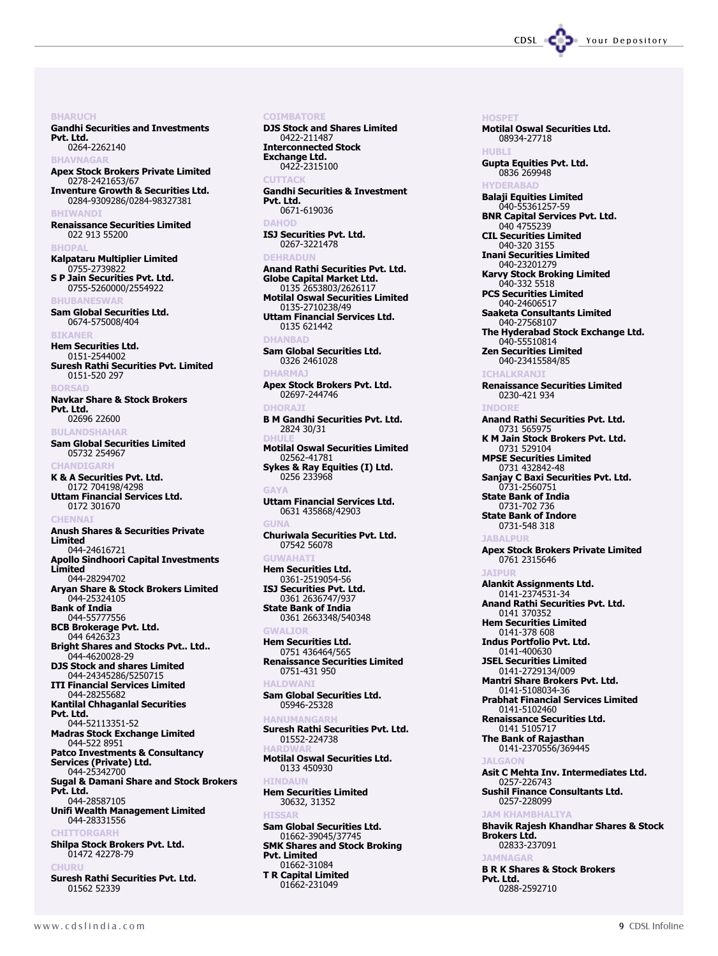CDSL CODE Your Depository

**BHARUCH** Gandhi Securities and Investments Pvt. Ltd. 0264-2262140 **BHAVNAGAR** Apex Stock Brokers Private Limited 0278-2421653/67 Inventure Growth & Securities Ltd. 0284-9309286/0284-98327381 BHIWANDI Renaissance Securities Limited 022 913 55200 **BHOPAL** Kalpataru Multiplier Limited 0755-2739822 S P Jain Securities Pvt. Ltd. 0755-5260000/2554922 **BHUBANESWAR** Sam Global Securities Ltd. 0674-575008/404 **BIKANE** Hem Securities Ltd. 0151-2544002 Suresh Rathi Securities Pvt. Limited 0151-520 297 BORSAD Navkar Share & Stock Brokers Pvt. Ltd. 02696 22600 **BULANDSHAHAR** Sam Global Securities Limited 05732 254967 **CHANDIGARI** K & A Securities Pvt. Ltd. 0172 704198/4298 Uttam Financial Services Ltd. 0172 301670 CHENNAI Anush Shares & Securities Private Limited 044-24616721 Apollo Sindhoori Capital Investments Limited 044-28294702 Aryan Share & Stock Brokers Limited 044-25324105 Bank of India 044-55777556 BCB Brokerage Pvt. Ltd. 044 6426323 Bright Shares and Stocks Pvt.. Ltd.. 044-4620028-29 DJS Stock and shares Limited 044-24345286/5250715 ITI Financial Services Limited 044-28255682 Kantilal Chhaganlal Securities Pvt. Ltd. 044-52113351-52 Madras Stock Exchange Limited 044-522 8951 Patco Investments & Consultancy Services (Private) Ltd. 044-25342700 Sugal & Damani Share and Stock Brokers Pvt. Ltd. 044-28587105 Unifi Wealth Management Limited 044-28331556 **CHITTORCARL** Shilpa Stock Brokers Pvt. Ltd. 01472 42278-79 CHUR Suresh Rathi Securities Pvt. Ltd. 01562 52339

#### **COIMBATORE**

DJS Stock and Shares Limited 0422-211487 Interconnected Stock Exchange Ltd. 0422-2315100 CUTTACK Gandhi Securities & Investment Pvt. Ltd. 0671-619036 DAHOD ISJ Securities Pvt. Ltd. 0267-3221478 **DEHRADU** Anand Rathi Securities Pvt. Ltd. Globe Capital Market Ltd. 0135 2653803/2626117 Motilal Oswal Securities Limited 0135-2710238/49 Uttam Financial Services Ltd. 0135 621442 **DHANRA** Sam Global Securities Ltd. 0326 2461028 **DHARM** Apex Stock Brokers Pvt. Ltd. 02697-244746 DHORAJI B M Gandhi Securities Pvt. Ltd. 2824 30/31 DHULE Motilal Oswal Securities Limited 02562-41781 Sykes & Ray Equities (I) Ltd. 0256 233968 GAYA Uttam Financial Services Ltd. 0631 435868/42903 GUNA Churiwala Securities Pvt. Ltd. 07542 56078 **GUWAHAT** Hem Securities Ltd. 0361-2519054-56 ISJ Securities Pvt. Ltd. 0361 2636747/937 State Bank of India 0361 2663348/540348 GWALIOR Hem Securities Ltd. 0751 436464/565 Renaissance Securities Limited 0751-431 950 **HALDWA** Sam Global Securities Ltd. 05946-25328 HANUMANGARH Suresh Rathi Securities Pvt. Ltd. 01552-224738 HARDWAR Motilal Oswal Securities Ltd. 0133 450930 **HTNDAU** Hem Securities Limited 30632, 31352 HISSAR Sam Global Securities Ltd. 01662-39045/37745 SMK Shares and Stock Broking Pvt. Limited 01662-31084 T R Capital Limited 01662-231049

**HOSPET** Motilal Oswal Securities Ltd. 08934-27718 HUBLI Gupta Equities Pvt. Ltd. 0836 269948 **HYDERARAD** Balaji Equities Limited 040-55361257-59 BNR Capital Services Pvt. Ltd. 040 4755239 CIL Securities Limited 040-320 3155 Inani Securities Limited 040-23201279 Karvy Stock Broking Limited 040-332 5518 PCS Securities Limited 040-24606517 Saaketa Consultants Limited 040-27568107 The Hyderabad Stock Exchange Ltd. 040-55510814 Zen Securities Limited 040-23415584/85 ICHALKRANJI Renaissance Securities Limited 0230-421 934 INDORE Anand Rathi Securities Pvt. Ltd. 0731 565975 K M Jain Stock Brokers Pvt. Ltd. 0731 529104 MPSE Securities Limited 0731 432842-48 Sanjay C Baxi Securities Pvt. Ltd. 0731-2560751 State Bank of India 0731-702 736 State Bank of Indore 0731-548 318 **JARALPI** Apex Stock Brokers Private Limited 0761 2315646 **JATDUR** Alankit Assignments Ltd. 0141-2374531-34 Anand Rathi Securities Pvt. Ltd. 0141 370352 Hem Securities Limited 0141-378 608 Indus Portfolio Pvt. Ltd. 0141-400630 JSEL Securities Limited 0141-2729134/009 Mantri Share Brokers Pvt. Ltd. 0141-5108034-36 Prabhat Financial Services Limited 0141-5102460 Renaissance Securities Ltd. 0141 5105717 The Bank of Rajasthan 0141-2370556/369445 JALGAON Asit C Mehta Inv. Intermediates Ltd. 0257-226743 Sushil Finance Consultants Ltd. 0257-228099 JAM KHAMBHALIYA Bhavik Rajesh Khandhar Shares & Stock Brokers Ltd. 02833-237091 **JAMNAGAR** B R K Shares & Stock Brokers Pvt. Ltd. 0288-2592710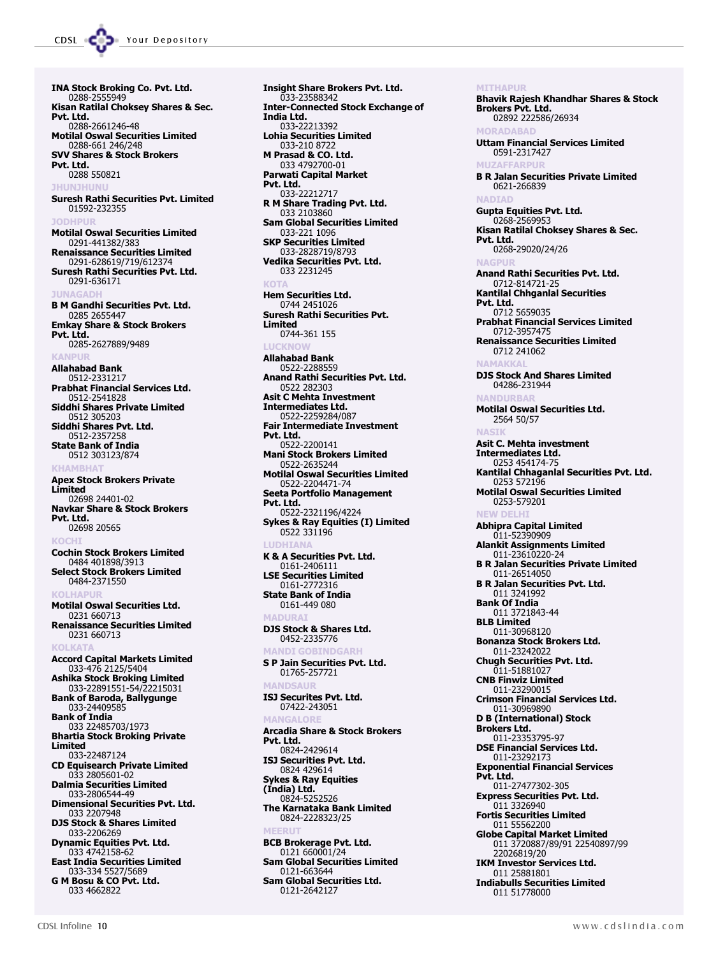INA Stock Broking Co. Pvt. Ltd. 0288-2555949 Kisan Ratilal Choksey Shares & Sec. Pvt. Ltd. 0288-2661246-48 Motilal Oswal Securities Limited 0288-661 246/248 SVV Shares & Stock Brokers Pvt. Ltd. 0288 550821 JHUNJHUNU Suresh Rathi Securities Pvt. Limited 01592-232355 **JODHPUR** Motilal Oswal Securities Limited 0291-441382/383 Renaissance Securities Limited 0291-628619/719/612374 Suresh Rathi Securities Pvt. Ltd. 0291-636171 **JUNACA** B M Gandhi Securities Pvt. Ltd. 0285 2655447 Emkay Share & Stock Brokers Pvt. Ltd. 0285-2627889/9489 KANPUR Allahabad Bank 0512-2331217 Prabhat Financial Services Ltd. 0512-2541828 Siddhi Shares Private Limited 0512 305203 Siddhi Shares Pvt. Ltd. 0512-2357258 State Bank of India 0512 303123/874 **KHAMBH** Apex Stock Brokers Private Limited 02698 24401-02 Navkar Share & Stock Brokers Pvt. Ltd. 02698 20565 KOCHI Cochin Stock Brokers Limited 0484 401898/3913 Select Stock Brokers Limited 0484-2371550 KULHVDIII Motilal Oswal Securities Ltd. 0231 660713 Renaissance Securities Limited 0231 660713 KOLKATA Accord Capital Markets Limited 033-476 2125/5404 Ashika Stock Broking Limited 033-22891551-54 Bank of Baroda, Ballygunge 033-24409585 Bank of India 033 22485703/1973 Bhartia Stock Broking Private Limited 033-22487124 CD Equisearch Private Limited 033 2805601-02 Dalmia Securities Limited 033-2806544-49 Dimensional Securities Pvt. Ltd. 033 2207948 DJS Stock & Shares Limited 033-2206269 Dynamic Equities Pvt. Ltd. 033 4742158-62 East India Securities Limited 033-334 5527/5689 G M Bosu & CO Pvt. Ltd. 033 4662822

Insight Share Brokers Pvt. Ltd. 033-23588342 Inter-Connected Stock Exchange of India Ltd. 033-22213392 Lohia Securities Limited 033-210 8722 M Prasad & CO. Ltd. 033 4792700-01 Parwati Capital Market Pvt. Ltd. 033-22212717 R M Share Trading Pvt. Ltd. 033 2103860 Sam Global Securities Limited 033-221 1096 SKP Securities Limited 033-2828719/8793 Vedika Securities Pvt. Ltd. 033 2231245 **KOTA** Hem Securities Ltd. 0744 2451026 Suresh Rathi Securities Pvt. Limited 0744-361 155 LUCKNOW Allahabad Bank 0522-2288559 Anand Rathi Securities Pvt. Ltd. 0522 282303 Asit C Mehta Investment Intermediates Ltd. 0522-2259284/087 Fair Intermediate Investment Pvt. Ltd. 0522-2200141 Mani Stock Brokers Limited 0522-2635244 Motilal Oswal Securities Limited 0522-2204471-74 Seeta Portfolio Management Pvt. Ltd. 0522-2321196/4224 Sykes & Ray Equities (I) Limited 0522 331196 LUDHIANA K & A Securities Pvt. Ltd. 0161-2406111 LSE Securities Limited 0161-2772316 State Bank of India 0161-449 080 **MADURA** DJS Stock & Shares Ltd. 0452-2335776 MANDI GOBINDGARH S P Jain Securities Pvt. Ltd. 01765-257721 **MANDSAII** ISJ Securites Pvt. Ltd. 07422-243051 **MANCALORE** Arcadia Share & Stock Brokers Pvt. Ltd. 0824-2429614 ISJ Securities Pvt. Ltd. 0824 429614 Sykes & Ray Equities (India) Ltd. 0824-5252526 The Karnataka Bank Limited 0824-2228323/25 MEERUT BCB Brokerage Pvt. Ltd. 0121 660001/24 Sam Global Securities Limited 0121-663644 Sam Global Securities Ltd. 0121-2642127

**MITHAPUR** Bhavik Rajesh Khandhar Shares & Stock Brokers Pvt. Ltd. 02892 222586/26934 **MORADABAD** Uttam Financial Services Limited 0591-2317427 **MUZAFFARPUR** B R Jalan Securities Private Limited 0621-266839 **NADIAL** Gupta Equities Pvt. Ltd. 0268-2569953 Kisan Ratilal Choksey Shares & Sec. Pvt. Ltd. 0268-29020/24/26 **NAGPUL** Anand Rathi Securities Pvt. Ltd. 0712-814721-25 Kantilal Chhganlal Securities Pvt. Ltd. 0712 5659035 Prabhat Financial Services Limited 0712-3957475 Renaissance Securities Limited 0712 241062 NAMAKKAL DJS Stock And Shares Limited 04286-231944 **NANDURA** Motilal Oswal Securities Ltd. 2564 50/57 **NACT** Asit C. Mehta investment Intermediates Ltd. 0253 454174-75 Kantilal Chhaganlal Securities Pvt. Ltd. 0253 572196 Motilal Oswal Securities Limited 0253-579201 NEW DELHI Abhipra Capital Limited 011-52390909 Alankit Assignments Limited 011-23610220-24 B R Jalan Securities Private Limited 011-26514050 B R Jalan Securities Pvt. Ltd. 011 3241992 Bank Of India 011 3721843-44 BLB Limited 011-30968120 Bonanza Stock Brokers Ltd. 011-23242022 Chugh Securities Pvt. Ltd. 011-51881027 CNB Finwiz Limited 011-23290015 Crimson Financial Services Ltd. 011-30969890 D B (International) Stock Brokers Ltd. 011-23353795-97 DSE Financial Services Ltd. 011-23292173 Exponential Financial Services Pvt. Ltd. 011-27477302-305 Express Securities Pvt. Ltd. 011 3326940 Fortis Securities Limited 011 55562200 Globe Capital Market Limited 011 3720887/89/91 22540897/99 22026819/20 IKM Investor Services Ltd. 011 25881801 Indiabulls Securities Limited 011 51778000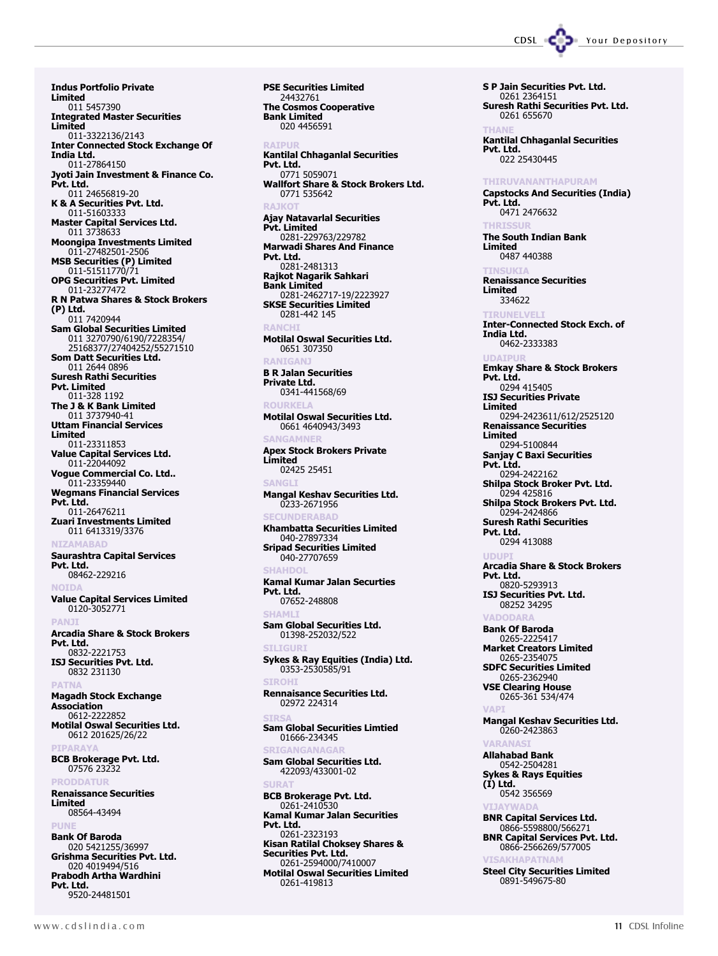Indus Portfolio Private Limited 011 5457390 Integrated Master Securities Limited 011-3322136/2143 Inter Connected Stock Exchange Of India Ltd. 011-27864150 Jyoti Jain Investment & Finance Co. Pvt. Ltd. 011 24656819-20 K & A Securities Pvt. Ltd. 011-51603333 Master Capital Services Ltd. 011 3738633 Moongipa Investments Limited 011-27482501-2506 MSB Securities (P) Limited 011-51511770/71 OPG Securities Pvt. Limited 011-23277472 R N Patwa Shares & Stock Brokers (P) Ltd. 011 7420944 Sam Global Securities Limited 011 3270790/6190/7228354/ 25168377/27404252/55271510 Som Datt Securities Ltd. 011 2644 0896 Suresh Rathi Securities Pvt. Limited 011-328 1192 The J & K Bank Limited 011 3737940-41 Uttam Financial Services Limited 011-23311853 Value Capital Services Ltd. 011-22044092 Vogue Commercial Co. Ltd.. 011-23359440 Wegmans Financial Services Pvt. Ltd.  $-011 - 26476211$ Zuari Investments Limited 011 6413319/3376 **NIZAMARAD** Saurashtra Capital Services Pvt. Ltd. 08462-229216 **NOTD** Value Capital Services Limited 0120-3052771 **PANJ** Arcadia Share & Stock Brokers Pvt. Ltd. 0832-2221753 ISJ Securities Pvt. Ltd. 0832 231130 PATNA Magadh Stock Exchange **Association** 0612-2222852 Motilal Oswal Securities Ltd. 0612 201625/26/22 **PIPARAY** BCB Brokerage Pvt. Ltd. 07576 23232 **PRODDATUR** Renaissance Securities Limited 08564-43494 **PUNE** Bank Of Baroda

020 5421255/36997 Grishma Securities Pvt. Ltd. 020 4019494/516 Prabodh Artha Wardhini Pvt. Ltd. 9520-24481501

PSE Securities Limited 24432761 The Cosmos Cooperative Bank Limited 020 4456591 **RATPUL** 

Kantilal Chhaganlal Securities Pvt. Ltd. 0771 5059071 Wallfort Share & Stock Brokers Ltd. 0771 535642 RAJKOT Ajay Natavarlal Securities Pvt. Limited 0281-229763/229782 Marwadi Shares And Finance Pvt. Ltd. 0281-2481313 Rajkot Nagarik Sahkari Bank Limited 0281-2462717-19/2223927 SKSE Securities Limited 0281-442 145 RANCHI Motilal Oswal Securities Ltd. 0651 307350 *<u>RANIGAN</u>* B R Jalan Securities Private Ltd. 0341-441568/69 ROURKELA Motilal Oswal Securities Ltd. 0661 4640943/3493 **SANGAMNE** Apex Stock Brokers Private Limited 02425 25451 **SANG** Mangal Keshav Securities Ltd. 0233-2671956 **SECUNDERARAD** Khambatta Securities Limited 040-27897334 Sripad Securities Limited 040-27707659 SHAHD Kamal Kumar Jalan Securties Pvt. Ltd. 07652-248808 **SHAMI** Sam Global Securities Ltd. 01398-252032/522 **STI TGURI** Sykes & Ray Equities (India) Ltd. 0353-2530585/91 SIROHI Rennaisance Securities Ltd. 02972 224314 SIRSA Sam Global Securities Limtied 01666-234345 **SRIGANGANAGAR** Sam Global Securities Ltd. 422093/433001-02 SURAT BCB Brokerage Pvt. Ltd. 0261-2410530 Kamal Kumar Jalan Securities Pvt. Ltd. 0261-2323193 Kisan Ratilal Choksey Shares & Securities Pvt. Ltd. 0261-2594000/7410007 Motilal Oswal Securities Limited 0261-419813

0261 655670 THANE Kantilal Chhaganlal Securities Pvt. Ltd. 022 25430445 THIRUVANANTHAPURAM Capstocks And Securities (India) Pvt. Ltd. 0471 2476632 **THDTCCLU** The South Indian Bank Limited 0487 440388 TINSUKIA Renaissance Securities Limited 334622 TIRUNELVELI Inter-Connected Stock Exch. of India Ltd. 0462-2333383 UDAIPUR Emkay Share & Stock Brokers Pvt. Ltd. 0294 415405 ISJ Securities Private Limited 0294-2423611/612/2525120 Renaissance Securities Limited 0294-5100844 Sanjay C Baxi Securities Pvt. Ltd. 0294-2422162 Shilpa Stock Broker Pvt. Ltd. 0294 425816 Shilpa Stock Brokers Pvt. Ltd. 0294-2424866 Suresh Rathi Securities Pvt. Ltd. 0294 413088 UDUPI Arcadia Share & Stock Brokers Pvt. Ltd. 0820-5293913 ISJ Securities Pvt. Ltd. 08252 34295 **VADODAR** Bank Of Baroda 0265-2225417 Market Creators Limited 0265-2354075 SDFC Securities Limited 0265-2362940 VSE Clearing House 0265-361 534/474 VAPI Mangal Keshav Securities Ltd. 0260-2423863 VARANASI Allahabad Bank 0542-2504281 Sykes & Rays Equities  $(I)$  Ltd. 0542 356569 VIJAYWADA BNR Capital Services Ltd. 0866-5598800/566271 BNR Capital Services Pvt. Ltd. 0866-2566269/577005 VISAKHAPATNAM Steel City Securities Limited 0891-549675-80

CDSL CODE Your Depository

S P Jain Securities Pvt. Ltd. 0261 2364151

Suresh Rathi Securities Pvt. Ltd.